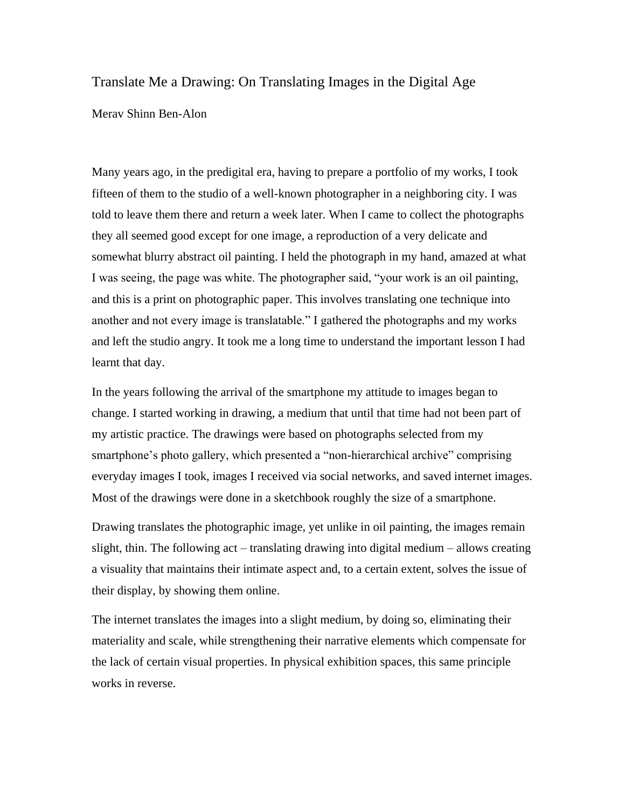## Translate Me a Drawing: On Translating Images in the Digital Age

## Merav Shinn Ben-Alon

Many years ago, in the predigital era, having to prepare a portfolio of my works, I took fifteen of them to the studio of a well-known photographer in a neighboring city. I was told to leave them there and return a week later. When I came to collect the photographs they all seemed good except for one image, a reproduction of a very delicate and somewhat blurry abstract oil painting. I held the photograph in my hand, amazed at what I was seeing, the page was white. The photographer said, "your work is an oil painting, and this is a print on photographic paper. This involves translating one technique into another and not every image is translatable." I gathered the photographs and my works and left the studio angry. It took me a long time to understand the important lesson I had learnt that day.

In the years following the arrival of the smartphone my attitude to images began to change. I started working in drawing, a medium that until that time had not been part of my artistic practice. The drawings were based on photographs selected from my smartphone's photo gallery, which presented a "non-hierarchical archive" comprising everyday images I took, images I received via social networks, and saved internet images. Most of the drawings were done in a sketchbook roughly the size of a smartphone.

Drawing translates the photographic image, yet unlike in oil painting, the images remain slight, thin. The following act – translating drawing into digital medium – allows creating a visuality that maintains their intimate aspect and, to a certain extent, solves the issue of their display, by showing them online.

The internet translates the images into a slight medium, by doing so, eliminating their materiality and scale, while strengthening their narrative elements which compensate for the lack of certain visual properties. In physical exhibition spaces, this same principle works in reverse.